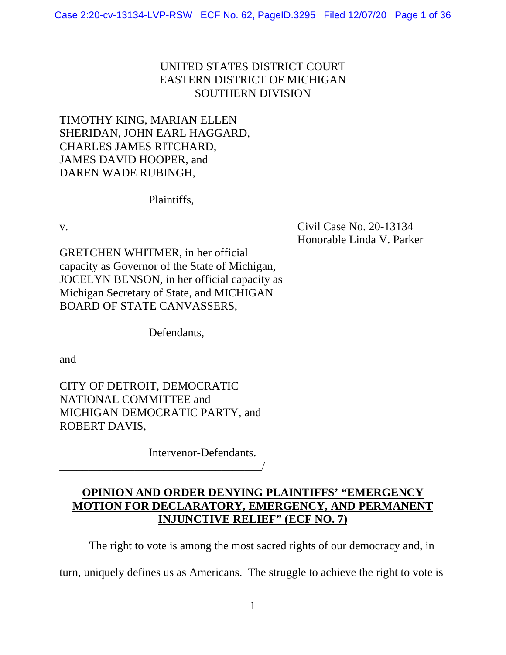# UNITED STATES DISTRICT COURT EASTERN DISTRICT OF MICHIGAN SOUTHERN DIVISION

# TIMOTHY KING, MARIAN ELLEN SHERIDAN, JOHN EARL HAGGARD, CHARLES JAMES RITCHARD, JAMES DAVID HOOPER, and DAREN WADE RUBINGH,

Plaintiffs,

v. Civil Case No. 20-13134 Honorable Linda V. Parker

GRETCHEN WHITMER, in her official capacity as Governor of the State of Michigan, JOCELYN BENSON, in her official capacity as Michigan Secretary of State, and MICHIGAN BOARD OF STATE CANVASSERS,

Defendants,

and

CITY OF DETROIT, DEMOCRATIC NATIONAL COMMITTEE and MICHIGAN DEMOCRATIC PARTY, and ROBERT DAVIS,

\_\_\_\_\_\_\_\_\_\_\_\_\_\_\_\_\_\_\_\_\_\_\_\_\_\_\_\_\_\_\_\_\_\_\_/

Intervenor-Defendants.

# **OPINION AND ORDER DENYING PLAINTIFFS' "EMERGENCY MOTION FOR DECLARATORY, EMERGENCY, AND PERMANENT INJUNCTIVE RELIEF" (ECF NO. 7)**

The right to vote is among the most sacred rights of our democracy and, in

turn, uniquely defines us as Americans. The struggle to achieve the right to vote is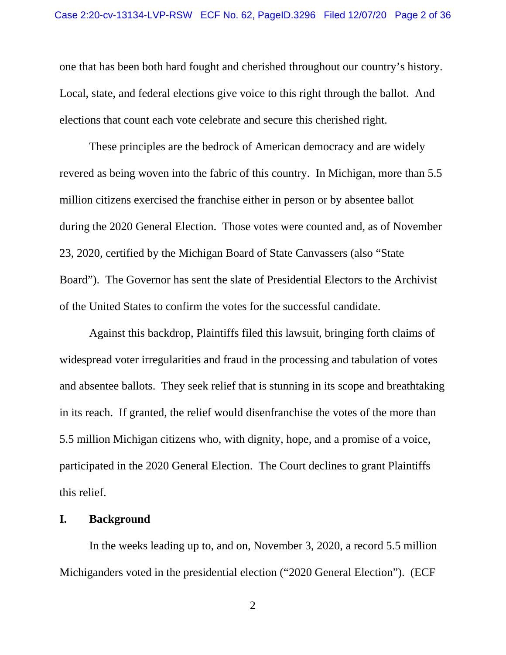one that has been both hard fought and cherished throughout our country's history. Local, state, and federal elections give voice to this right through the ballot. And elections that count each vote celebrate and secure this cherished right.

 These principles are the bedrock of American democracy and are widely revered as being woven into the fabric of this country. In Michigan, more than 5.5 million citizens exercised the franchise either in person or by absentee ballot during the 2020 General Election. Those votes were counted and, as of November 23, 2020, certified by the Michigan Board of State Canvassers (also "State Board"). The Governor has sent the slate of Presidential Electors to the Archivist of the United States to confirm the votes for the successful candidate.

 Against this backdrop, Plaintiffs filed this lawsuit, bringing forth claims of widespread voter irregularities and fraud in the processing and tabulation of votes and absentee ballots. They seek relief that is stunning in its scope and breathtaking in its reach. If granted, the relief would disenfranchise the votes of the more than 5.5 million Michigan citizens who, with dignity, hope, and a promise of a voice, participated in the 2020 General Election. The Court declines to grant Plaintiffs this relief.

### **I. Background**

 In the weeks leading up to, and on, November 3, 2020, a record 5.5 million Michiganders voted in the presidential election ("2020 General Election"). (ECF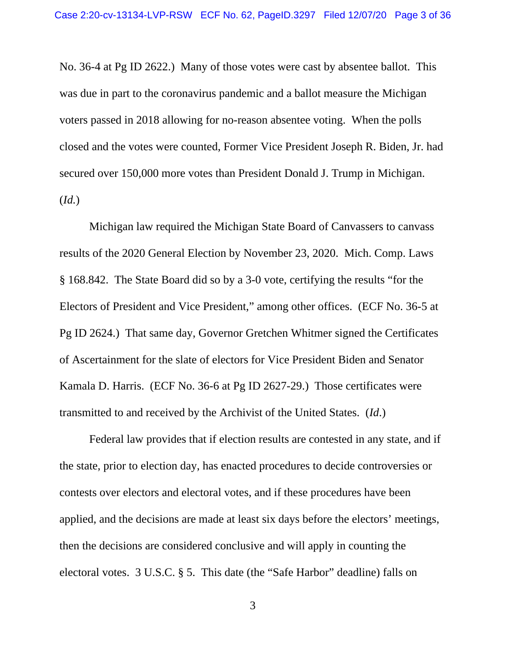No. 36-4 at Pg ID 2622.) Many of those votes were cast by absentee ballot. This was due in part to the coronavirus pandemic and a ballot measure the Michigan voters passed in 2018 allowing for no-reason absentee voting. When the polls closed and the votes were counted, Former Vice President Joseph R. Biden, Jr. had secured over 150,000 more votes than President Donald J. Trump in Michigan. (*Id.*)

 Michigan law required the Michigan State Board of Canvassers to canvass results of the 2020 General Election by November 23, 2020. Mich. Comp. Laws § 168.842. The State Board did so by a 3-0 vote, certifying the results "for the Electors of President and Vice President," among other offices. (ECF No. 36-5 at Pg ID 2624.) That same day, Governor Gretchen Whitmer signed the Certificates of Ascertainment for the slate of electors for Vice President Biden and Senator Kamala D. Harris. (ECF No. 36-6 at Pg ID 2627-29.) Those certificates were transmitted to and received by the Archivist of the United States. (*Id*.)

 Federal law provides that if election results are contested in any state, and if the state, prior to election day, has enacted procedures to decide controversies or contests over electors and electoral votes, and if these procedures have been applied, and the decisions are made at least six days before the electors' meetings, then the decisions are considered conclusive and will apply in counting the electoral votes. 3 U.S.C. § 5. This date (the "Safe Harbor" deadline) falls on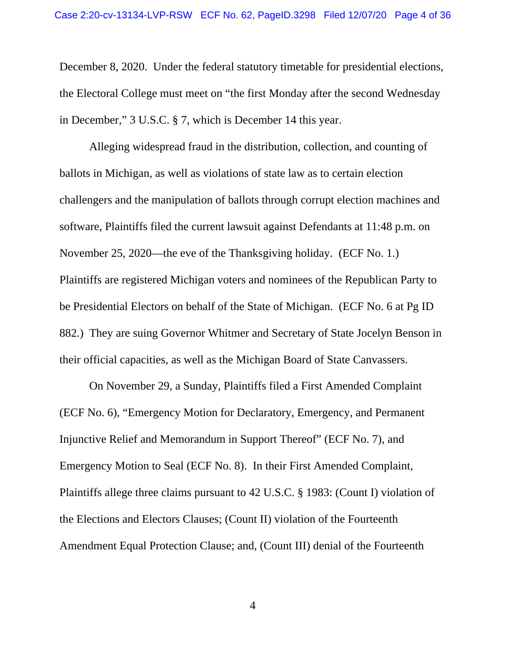December 8, 2020. Under the federal statutory timetable for presidential elections, the Electoral College must meet on "the first Monday after the second Wednesday in December," 3 U.S.C. § 7, which is December 14 this year.

Alleging widespread fraud in the distribution, collection, and counting of ballots in Michigan, as well as violations of state law as to certain election challengers and the manipulation of ballots through corrupt election machines and software, Plaintiffs filed the current lawsuit against Defendants at 11:48 p.m. on November 25, 2020—the eve of the Thanksgiving holiday. (ECF No. 1.) Plaintiffs are registered Michigan voters and nominees of the Republican Party to be Presidential Electors on behalf of the State of Michigan. (ECF No. 6 at Pg ID 882.) They are suing Governor Whitmer and Secretary of State Jocelyn Benson in their official capacities, as well as the Michigan Board of State Canvassers.

On November 29, a Sunday, Plaintiffs filed a First Amended Complaint (ECF No. 6), "Emergency Motion for Declaratory, Emergency, and Permanent Injunctive Relief and Memorandum in Support Thereof" (ECF No. 7), and Emergency Motion to Seal (ECF No. 8). In their First Amended Complaint, Plaintiffs allege three claims pursuant to 42 U.S.C. § 1983: (Count I) violation of the Elections and Electors Clauses; (Count II) violation of the Fourteenth Amendment Equal Protection Clause; and, (Count III) denial of the Fourteenth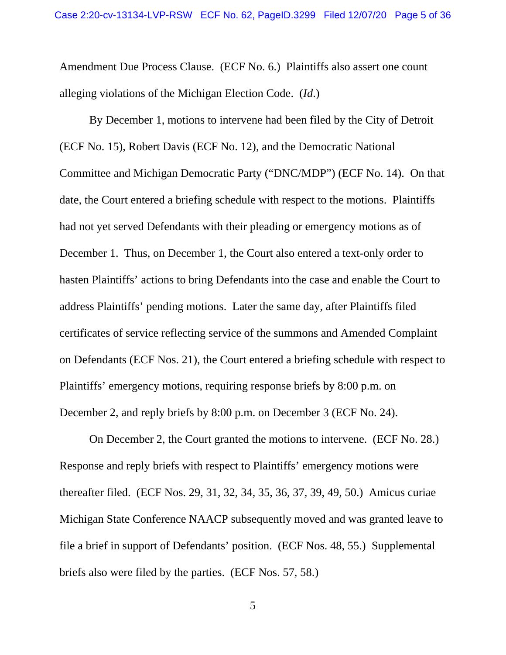Amendment Due Process Clause. (ECF No. 6.) Plaintiffs also assert one count alleging violations of the Michigan Election Code. (*Id*.)

By December 1, motions to intervene had been filed by the City of Detroit (ECF No. 15), Robert Davis (ECF No. 12), and the Democratic National Committee and Michigan Democratic Party ("DNC/MDP") (ECF No. 14). On that date, the Court entered a briefing schedule with respect to the motions. Plaintiffs had not yet served Defendants with their pleading or emergency motions as of December 1. Thus, on December 1, the Court also entered a text-only order to hasten Plaintiffs' actions to bring Defendants into the case and enable the Court to address Plaintiffs' pending motions. Later the same day, after Plaintiffs filed certificates of service reflecting service of the summons and Amended Complaint on Defendants (ECF Nos. 21), the Court entered a briefing schedule with respect to Plaintiffs' emergency motions, requiring response briefs by 8:00 p.m. on December 2, and reply briefs by 8:00 p.m. on December 3 (ECF No. 24).

On December 2, the Court granted the motions to intervene. (ECF No. 28.) Response and reply briefs with respect to Plaintiffs' emergency motions were thereafter filed. (ECF Nos. 29, 31, 32, 34, 35, 36, 37, 39, 49, 50.) Amicus curiae Michigan State Conference NAACP subsequently moved and was granted leave to file a brief in support of Defendants' position. (ECF Nos. 48, 55.) Supplemental briefs also were filed by the parties. (ECF Nos. 57, 58.)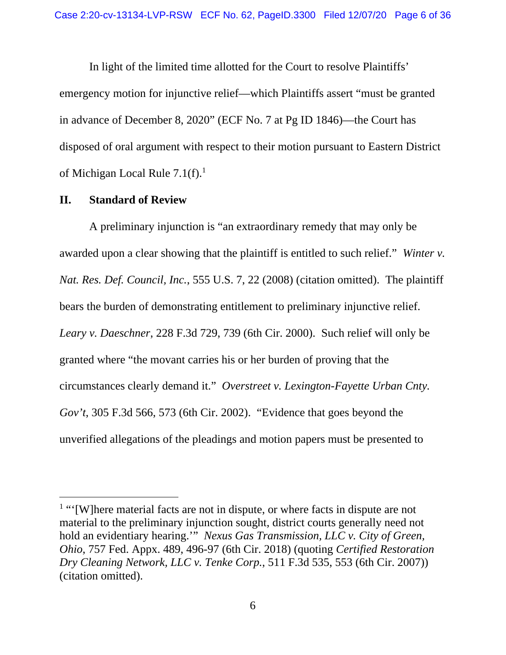In light of the limited time allotted for the Court to resolve Plaintiffs' emergency motion for injunctive relief—which Plaintiffs assert "must be granted in advance of December 8, 2020" (ECF No. 7 at Pg ID 1846)—the Court has disposed of oral argument with respect to their motion pursuant to Eastern District of Michigan Local Rule  $7.1(f)$ <sup>1</sup>

#### **II. Standard of Review**

 A preliminary injunction is "an extraordinary remedy that may only be awarded upon a clear showing that the plaintiff is entitled to such relief." *Winter v. Nat. Res. Def. Council, Inc.*, 555 U.S. 7, 22 (2008) (citation omitted). The plaintiff bears the burden of demonstrating entitlement to preliminary injunctive relief. *Leary v. Daeschner*, 228 F.3d 729, 739 (6th Cir. 2000). Such relief will only be granted where "the movant carries his or her burden of proving that the circumstances clearly demand it." *Overstreet v. Lexington-Fayette Urban Cnty. Gov't*, 305 F.3d 566, 573 (6th Cir. 2002). "Evidence that goes beyond the unverified allegations of the pleadings and motion papers must be presented to

<sup>&</sup>lt;sup>1</sup> "'[W]here material facts are not in dispute, or where facts in dispute are not material to the preliminary injunction sought, district courts generally need not hold an evidentiary hearing.'" *Nexus Gas Transmission, LLC v. City of Green, Ohio*, 757 Fed. Appx. 489, 496-97 (6th Cir. 2018) (quoting *Certified Restoration Dry Cleaning Network, LLC v. Tenke Corp.*, 511 F.3d 535, 553 (6th Cir. 2007)) (citation omitted).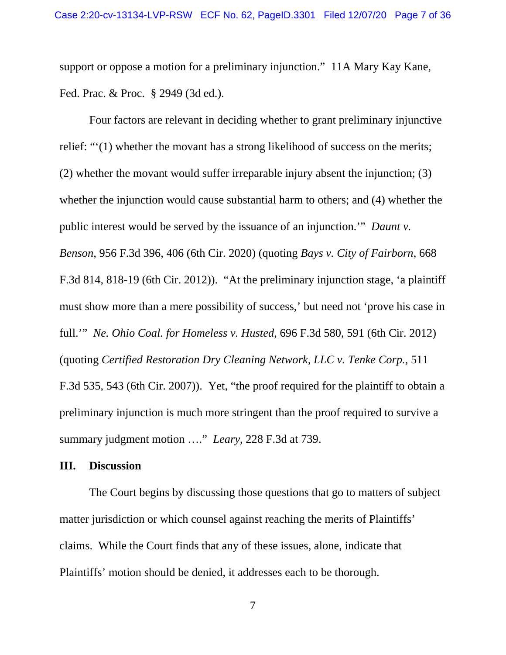support or oppose a motion for a preliminary injunction." 11A Mary Kay Kane, Fed. Prac. & Proc. § 2949 (3d ed.).

Four factors are relevant in deciding whether to grant preliminary injunctive relief: "'(1) whether the movant has a strong likelihood of success on the merits; (2) whether the movant would suffer irreparable injury absent the injunction; (3) whether the injunction would cause substantial harm to others; and (4) whether the public interest would be served by the issuance of an injunction.'" *Daunt v. Benson*, 956 F.3d 396, 406 (6th Cir. 2020) (quoting *Bays v. City of Fairborn*, 668 F.3d 814, 818-19 (6th Cir. 2012)). "At the preliminary injunction stage, 'a plaintiff must show more than a mere possibility of success,' but need not 'prove his case in full.'" *Ne. Ohio Coal. for Homeless v. Husted*, 696 F.3d 580, 591 (6th Cir. 2012) (quoting *Certified Restoration Dry Cleaning Network, LLC v. Tenke Corp.*, 511 F.3d 535, 543 (6th Cir. 2007)). Yet, "the proof required for the plaintiff to obtain a preliminary injunction is much more stringent than the proof required to survive a summary judgment motion …." *Leary*, 228 F.3d at 739.

## **III. Discussion**

 The Court begins by discussing those questions that go to matters of subject matter jurisdiction or which counsel against reaching the merits of Plaintiffs' claims. While the Court finds that any of these issues, alone, indicate that Plaintiffs' motion should be denied, it addresses each to be thorough.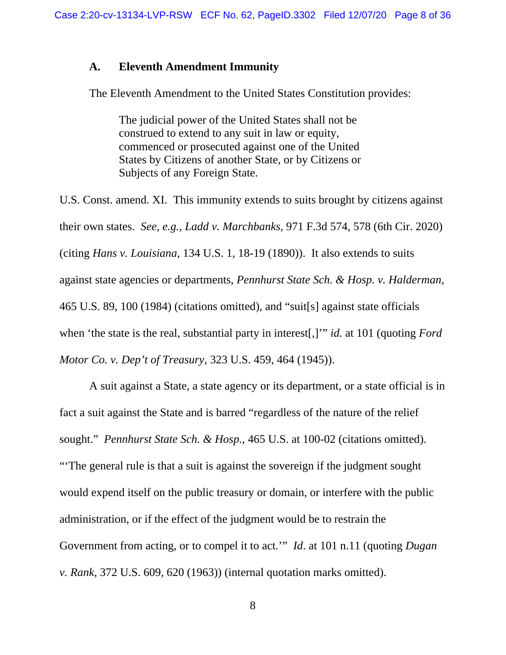# **A. Eleventh Amendment Immunity**

The Eleventh Amendment to the United States Constitution provides:

The judicial power of the United States shall not be construed to extend to any suit in law or equity, commenced or prosecuted against one of the United States by Citizens of another State, or by Citizens or Subjects of any Foreign State.

U.S. Const. amend. XI. This immunity extends to suits brought by citizens against their own states. *See, e.g., Ladd v. Marchbanks*, 971 F.3d 574, 578 (6th Cir. 2020) (citing *Hans v. Louisiana*, 134 U.S. 1, 18-19 (1890)). It also extends to suits against state agencies or departments, *Pennhurst State Sch. & Hosp. v. Halderman*, 465 U.S. 89, 100 (1984) (citations omitted), and "suit[s] against state officials when 'the state is the real, substantial party in interest[,]'" *id.* at 101 (quoting *Ford Motor Co. v. Dep't of Treasury*, 323 U.S. 459, 464 (1945)).

 A suit against a State, a state agency or its department, or a state official is in fact a suit against the State and is barred "regardless of the nature of the relief sought." *Pennhurst State Sch. & Hosp.*, 465 U.S. at 100-02 (citations omitted). "'The general rule is that a suit is against the sovereign if the judgment sought would expend itself on the public treasury or domain, or interfere with the public administration, or if the effect of the judgment would be to restrain the Government from acting, or to compel it to act.'" *Id*. at 101 n.11 (quoting *Dugan v. Rank*, 372 U.S. 609, 620 (1963)) (internal quotation marks omitted).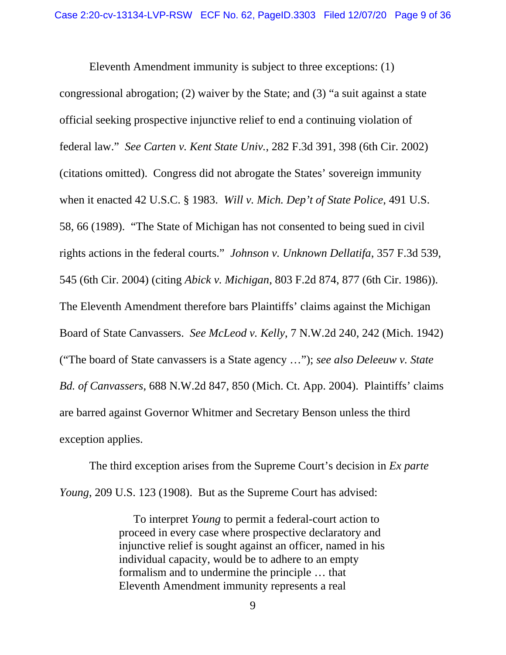Eleventh Amendment immunity is subject to three exceptions: (1) congressional abrogation; (2) waiver by the State; and (3) "a suit against a state official seeking prospective injunctive relief to end a continuing violation of federal law." *See Carten v. Kent State Univ.*, 282 F.3d 391, 398 (6th Cir. 2002) (citations omitted). Congress did not abrogate the States' sovereign immunity when it enacted 42 U.S.C. § 1983. *Will v. Mich. Dep't of State Police*, 491 U.S. 58, 66 (1989). "The State of Michigan has not consented to being sued in civil rights actions in the federal courts." *Johnson v. Unknown Dellatifa*, 357 F.3d 539, 545 (6th Cir. 2004) (citing *Abick v. Michigan*, 803 F.2d 874, 877 (6th Cir. 1986)). The Eleventh Amendment therefore bars Plaintiffs' claims against the Michigan Board of State Canvassers. *See McLeod v. Kelly*, 7 N.W.2d 240, 242 (Mich. 1942) ("The board of State canvassers is a State agency …"); *see also Deleeuw v. State Bd. of Canvassers*, 688 N.W.2d 847, 850 (Mich. Ct. App. 2004). Plaintiffs' claims are barred against Governor Whitmer and Secretary Benson unless the third exception applies.

The third exception arises from the Supreme Court's decision in *Ex parte Young*, 209 U.S. 123 (1908). But as the Supreme Court has advised:

> To interpret *Young* to permit a federal-court action to proceed in every case where prospective declaratory and injunctive relief is sought against an officer, named in his individual capacity, would be to adhere to an empty formalism and to undermine the principle … that Eleventh Amendment immunity represents a real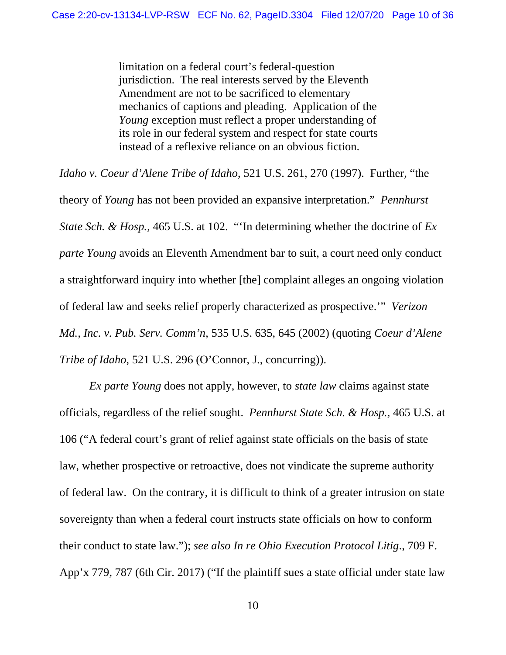limitation on a federal court's federal-question jurisdiction. The real interests served by the Eleventh Amendment are not to be sacrificed to elementary mechanics of captions and pleading. Application of the *Young* exception must reflect a proper understanding of its role in our federal system and respect for state courts instead of a reflexive reliance on an obvious fiction.

*Idaho v. Coeur d'Alene Tribe of Idaho*, 521 U.S. 261, 270 (1997). Further, "the

theory of *Young* has not been provided an expansive interpretation." *Pennhurst State Sch. & Hosp.*, 465 U.S. at 102. "'In determining whether the doctrine of *Ex parte Young* avoids an Eleventh Amendment bar to suit, a court need only conduct a straightforward inquiry into whether [the] complaint alleges an ongoing violation of federal law and seeks relief properly characterized as prospective.'" *Verizon Md., Inc. v. Pub. Serv. Comm'n*, 535 U.S. 635, 645 (2002) (quoting *Coeur d'Alene Tribe of Idaho*, 521 U.S. 296 (O'Connor, J., concurring)).

*Ex parte Young* does not apply, however, to *state law* claims against state officials, regardless of the relief sought. *Pennhurst State Sch. & Hosp.*, 465 U.S. at 106 ("A federal court's grant of relief against state officials on the basis of state law, whether prospective or retroactive, does not vindicate the supreme authority of federal law. On the contrary, it is difficult to think of a greater intrusion on state sovereignty than when a federal court instructs state officials on how to conform their conduct to state law."); *see also In re Ohio Execution Protocol Litig*., 709 F. App'x 779, 787 (6th Cir. 2017) ("If the plaintiff sues a state official under state law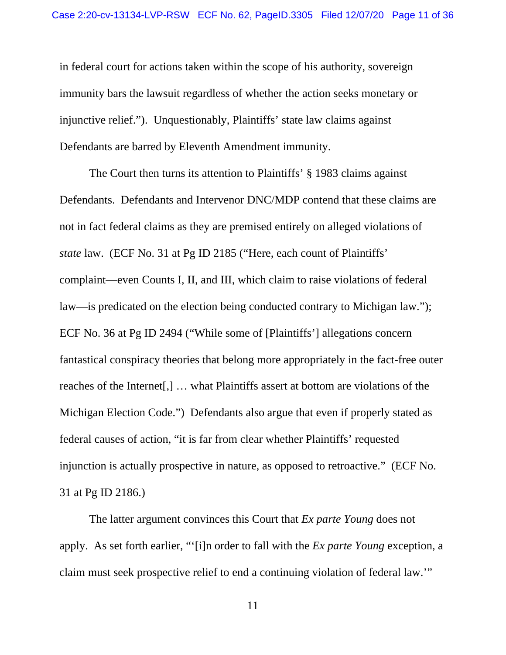in federal court for actions taken within the scope of his authority, sovereign immunity bars the lawsuit regardless of whether the action seeks monetary or injunctive relief."). Unquestionably, Plaintiffs' state law claims against Defendants are barred by Eleventh Amendment immunity.

The Court then turns its attention to Plaintiffs' § 1983 claims against Defendants. Defendants and Intervenor DNC/MDP contend that these claims are not in fact federal claims as they are premised entirely on alleged violations of *state* law. (ECF No. 31 at Pg ID 2185 ("Here, each count of Plaintiffs' complaint—even Counts I, II, and III, which claim to raise violations of federal law—is predicated on the election being conducted contrary to Michigan law."); ECF No. 36 at Pg ID 2494 ("While some of [Plaintiffs'] allegations concern fantastical conspiracy theories that belong more appropriately in the fact-free outer reaches of the Internet[,] … what Plaintiffs assert at bottom are violations of the Michigan Election Code.") Defendants also argue that even if properly stated as federal causes of action, "it is far from clear whether Plaintiffs' requested injunction is actually prospective in nature, as opposed to retroactive." (ECF No. 31 at Pg ID 2186.)

 The latter argument convinces this Court that *Ex parte Young* does not apply. As set forth earlier, "'[i]n order to fall with the *Ex parte Young* exception, a claim must seek prospective relief to end a continuing violation of federal law.'"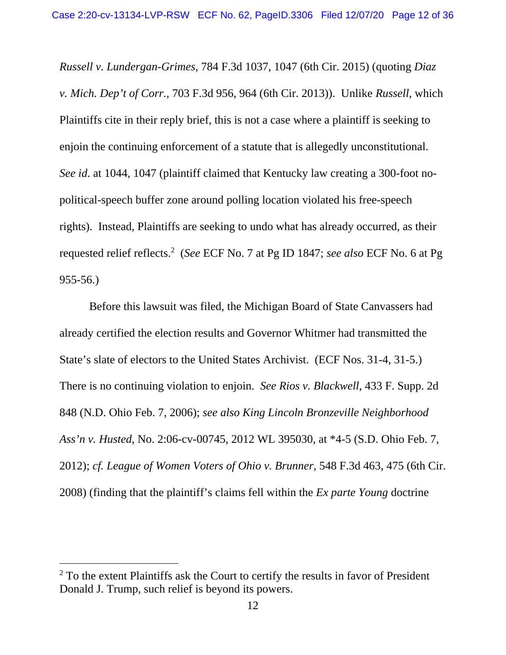*Russell v. Lundergan-Grimes*, 784 F.3d 1037, 1047 (6th Cir. 2015) (quoting *Diaz v. Mich. Dep't of Corr.*, 703 F.3d 956, 964 (6th Cir. 2013)). Unlike *Russell*, which Plaintiffs cite in their reply brief, this is not a case where a plaintiff is seeking to enjoin the continuing enforcement of a statute that is allegedly unconstitutional. *See id*. at 1044, 1047 (plaintiff claimed that Kentucky law creating a 300-foot nopolitical-speech buffer zone around polling location violated his free-speech rights). Instead, Plaintiffs are seeking to undo what has already occurred, as their requested relief reflects.2 (*See* ECF No. 7 at Pg ID 1847; *see also* ECF No. 6 at Pg 955-56.)

Before this lawsuit was filed, the Michigan Board of State Canvassers had already certified the election results and Governor Whitmer had transmitted the State's slate of electors to the United States Archivist. (ECF Nos. 31-4, 31-5.) There is no continuing violation to enjoin. *See Rios v. Blackwell*, 433 F. Supp. 2d 848 (N.D. Ohio Feb. 7, 2006); *see also King Lincoln Bronzeville Neighborhood Ass'n v. Husted*, No. 2:06-cv-00745, 2012 WL 395030, at \*4-5 (S.D. Ohio Feb. 7, 2012); *cf. League of Women Voters of Ohio v. Brunner*, 548 F.3d 463, 475 (6th Cir. 2008) (finding that the plaintiff's claims fell within the *Ex parte Young* doctrine

 $2$  To the extent Plaintiffs ask the Court to certify the results in favor of President Donald J. Trump, such relief is beyond its powers.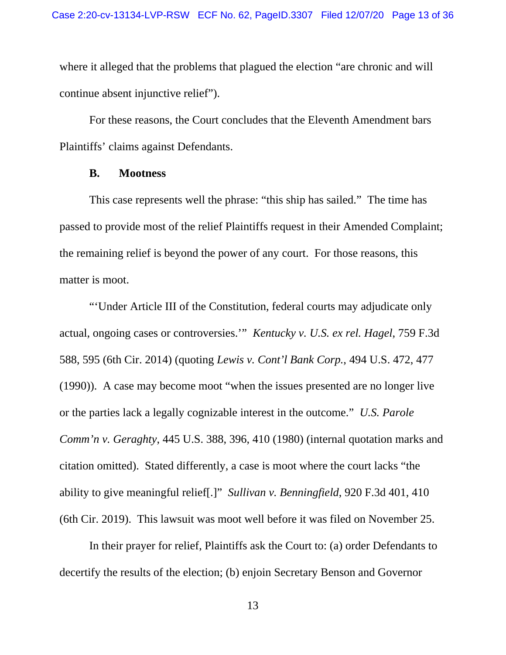where it alleged that the problems that plagued the election "are chronic and will continue absent injunctive relief").

 For these reasons, the Court concludes that the Eleventh Amendment bars Plaintiffs' claims against Defendants.

### **B. Mootness**

This case represents well the phrase: "this ship has sailed." The time has passed to provide most of the relief Plaintiffs request in their Amended Complaint; the remaining relief is beyond the power of any court. For those reasons, this matter is moot.

"'Under Article III of the Constitution, federal courts may adjudicate only actual, ongoing cases or controversies.'" *Kentucky v. U.S. ex rel. Hagel*, 759 F.3d 588, 595 (6th Cir. 2014) (quoting *Lewis v. Cont'l Bank Corp.*, 494 U.S. 472, 477 (1990)). A case may become moot "when the issues presented are no longer live or the parties lack a legally cognizable interest in the outcome." *U.S. Parole Comm'n v. Geraghty*, 445 U.S. 388, 396, 410 (1980) (internal quotation marks and citation omitted). Stated differently, a case is moot where the court lacks "the ability to give meaningful relief[.]" *Sullivan v. Benningfield*, 920 F.3d 401, 410 (6th Cir. 2019). This lawsuit was moot well before it was filed on November 25.

In their prayer for relief, Plaintiffs ask the Court to: (a) order Defendants to decertify the results of the election; (b) enjoin Secretary Benson and Governor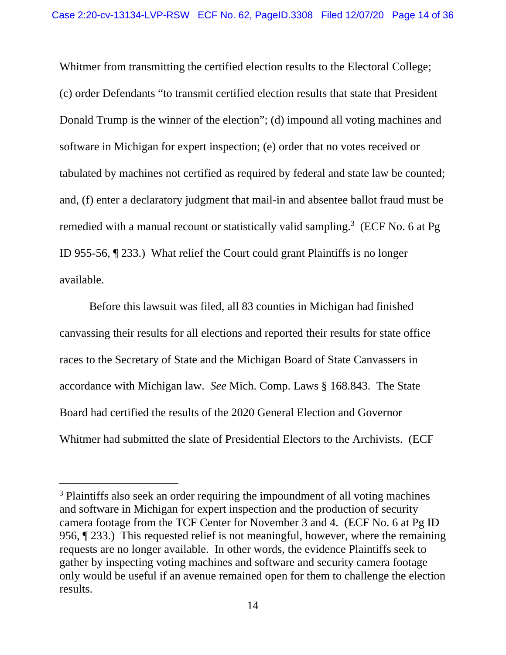Whitmer from transmitting the certified election results to the Electoral College; (c) order Defendants "to transmit certified election results that state that President Donald Trump is the winner of the election"; (d) impound all voting machines and software in Michigan for expert inspection; (e) order that no votes received or tabulated by machines not certified as required by federal and state law be counted; and, (f) enter a declaratory judgment that mail-in and absentee ballot fraud must be remedied with a manual recount or statistically valid sampling.<sup>3</sup> (ECF No. 6 at Pg ID 955-56, ¶ 233.) What relief the Court could grant Plaintiffs is no longer available.

Before this lawsuit was filed, all 83 counties in Michigan had finished canvassing their results for all elections and reported their results for state office races to the Secretary of State and the Michigan Board of State Canvassers in accordance with Michigan law. *See* Mich. Comp. Laws § 168.843. The State Board had certified the results of the 2020 General Election and Governor Whitmer had submitted the slate of Presidential Electors to the Archivists. (ECF

<sup>&</sup>lt;sup>3</sup> Plaintiffs also seek an order requiring the impoundment of all voting machines and software in Michigan for expert inspection and the production of security camera footage from the TCF Center for November 3 and 4. (ECF No. 6 at Pg ID 956, ¶ 233.) This requested relief is not meaningful, however, where the remaining requests are no longer available. In other words, the evidence Plaintiffs seek to gather by inspecting voting machines and software and security camera footage only would be useful if an avenue remained open for them to challenge the election results.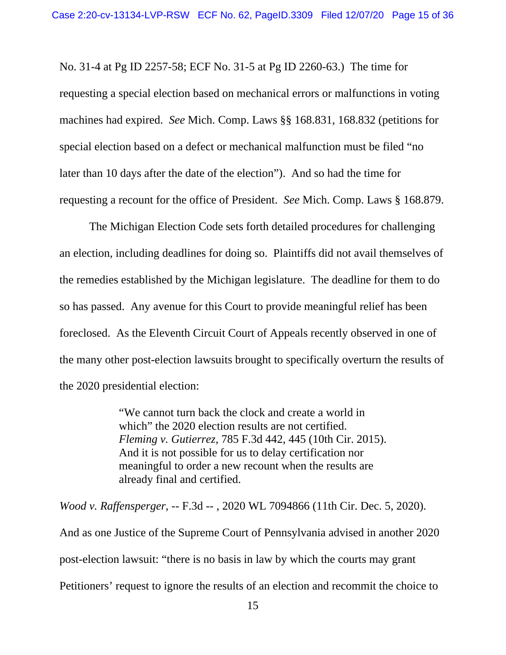No. 31-4 at Pg ID 2257-58; ECF No. 31-5 at Pg ID 2260-63.) The time for requesting a special election based on mechanical errors or malfunctions in voting machines had expired. *See* Mich. Comp. Laws §§ 168.831, 168.832 (petitions for special election based on a defect or mechanical malfunction must be filed "no later than 10 days after the date of the election"). And so had the time for requesting a recount for the office of President. *See* Mich. Comp. Laws § 168.879.

The Michigan Election Code sets forth detailed procedures for challenging an election, including deadlines for doing so. Plaintiffs did not avail themselves of the remedies established by the Michigan legislature. The deadline for them to do so has passed. Any avenue for this Court to provide meaningful relief has been foreclosed. As the Eleventh Circuit Court of Appeals recently observed in one of the many other post-election lawsuits brought to specifically overturn the results of the 2020 presidential election:

> "We cannot turn back the clock and create a world in which" the 2020 election results are not certified. *Fleming v. Gutierrez*, 785 F.3d 442, 445 (10th Cir. 2015). And it is not possible for us to delay certification nor meaningful to order a new recount when the results are already final and certified.

*Wood v. Raffensperger*, -- F.3d -- , 2020 WL 7094866 (11th Cir. Dec. 5, 2020).

And as one Justice of the Supreme Court of Pennsylvania advised in another 2020 post-election lawsuit: "there is no basis in law by which the courts may grant Petitioners' request to ignore the results of an election and recommit the choice to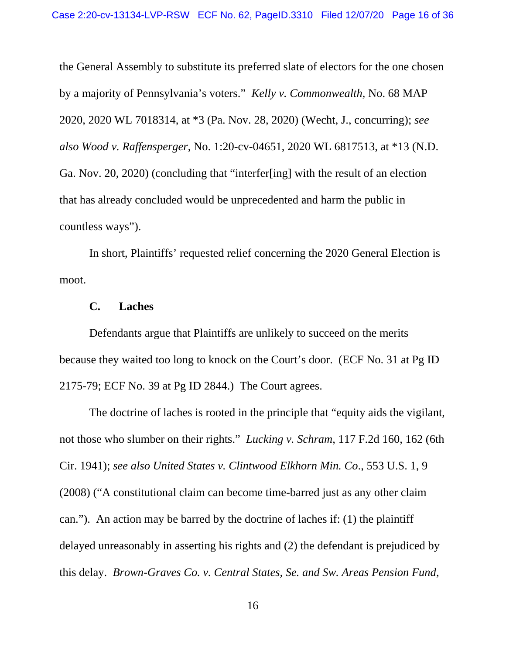the General Assembly to substitute its preferred slate of electors for the one chosen by a majority of Pennsylvania's voters." *Kelly v. Commonwealth*, No. 68 MAP 2020, 2020 WL 7018314, at \*3 (Pa. Nov. 28, 2020) (Wecht, J., concurring); *see also Wood v. Raffensperger*, No. 1:20-cv-04651, 2020 WL 6817513, at \*13 (N.D. Ga. Nov. 20, 2020) (concluding that "interfer[ing] with the result of an election that has already concluded would be unprecedented and harm the public in countless ways").

In short, Plaintiffs' requested relief concerning the 2020 General Election is moot.

### **C. Laches**

Defendants argue that Plaintiffs are unlikely to succeed on the merits because they waited too long to knock on the Court's door. (ECF No. 31 at Pg ID 2175-79; ECF No. 39 at Pg ID 2844.) The Court agrees.

The doctrine of laches is rooted in the principle that "equity aids the vigilant, not those who slumber on their rights." *Lucking v. Schram*, 117 F.2d 160, 162 (6th Cir. 1941); *see also United States v. Clintwood Elkhorn Min. Co*., 553 U.S. 1, 9 (2008) ("A constitutional claim can become time-barred just as any other claim can."). An action may be barred by the doctrine of laches if: (1) the plaintiff delayed unreasonably in asserting his rights and (2) the defendant is prejudiced by this delay. *Brown-Graves Co. v. Central States, Se. and Sw. Areas Pension Fund*,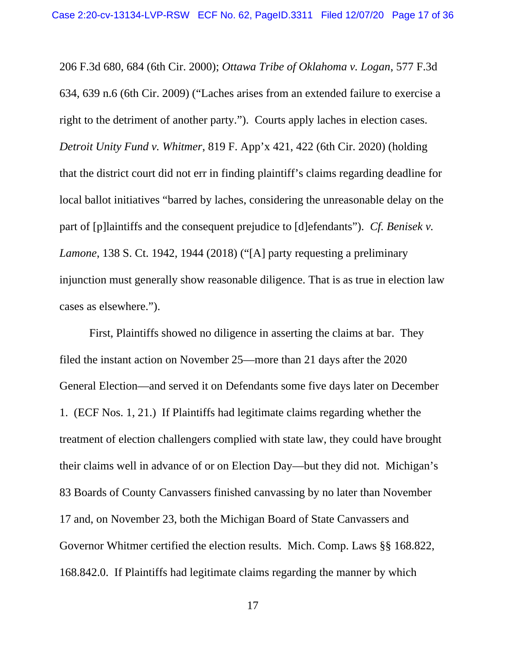206 F.3d 680, 684 (6th Cir. 2000); *Ottawa Tribe of Oklahoma v. Logan*, 577 F.3d 634, 639 n.6 (6th Cir. 2009) ("Laches arises from an extended failure to exercise a right to the detriment of another party."). Courts apply laches in election cases. *Detroit Unity Fund v. Whitmer*, 819 F. App'x 421, 422 (6th Cir. 2020) (holding that the district court did not err in finding plaintiff's claims regarding deadline for local ballot initiatives "barred by laches, considering the unreasonable delay on the part of [p]laintiffs and the consequent prejudice to [d]efendants"). *Cf. Benisek v. Lamone*, 138 S. Ct. 1942, 1944 (2018) ("[A] party requesting a preliminary injunction must generally show reasonable diligence. That is as true in election law cases as elsewhere.").

First, Plaintiffs showed no diligence in asserting the claims at bar. They filed the instant action on November 25—more than 21 days after the 2020 General Election—and served it on Defendants some five days later on December 1. (ECF Nos. 1, 21.) If Plaintiffs had legitimate claims regarding whether the treatment of election challengers complied with state law, they could have brought their claims well in advance of or on Election Day—but they did not. Michigan's 83 Boards of County Canvassers finished canvassing by no later than November 17 and, on November 23, both the Michigan Board of State Canvassers and Governor Whitmer certified the election results. Mich. Comp. Laws §§ 168.822, 168.842.0. If Plaintiffs had legitimate claims regarding the manner by which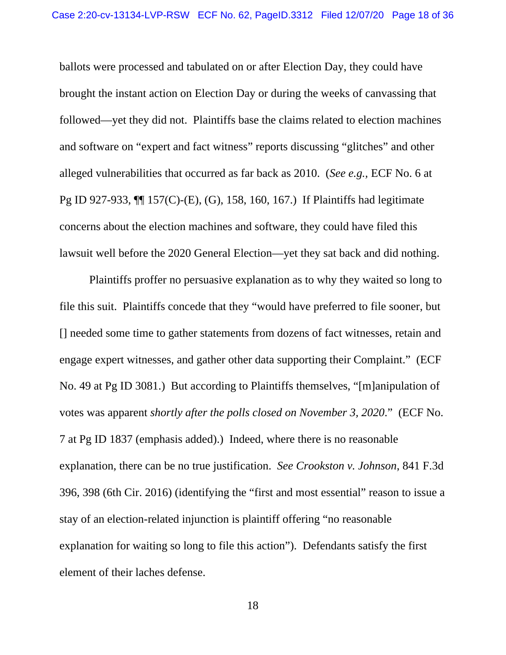ballots were processed and tabulated on or after Election Day, they could have brought the instant action on Election Day or during the weeks of canvassing that followed—yet they did not. Plaintiffs base the claims related to election machines and software on "expert and fact witness" reports discussing "glitches" and other alleged vulnerabilities that occurred as far back as 2010. (*See e.g.,* ECF No. 6 at Pg ID 927-933, ¶¶ 157(C)-(E), (G), 158, 160, 167.) If Plaintiffs had legitimate concerns about the election machines and software, they could have filed this lawsuit well before the 2020 General Election—yet they sat back and did nothing.

Plaintiffs proffer no persuasive explanation as to why they waited so long to file this suit. Plaintiffs concede that they "would have preferred to file sooner, but [] needed some time to gather statements from dozens of fact witnesses, retain and engage expert witnesses, and gather other data supporting their Complaint." (ECF No. 49 at Pg ID 3081.) But according to Plaintiffs themselves, "[m]anipulation of votes was apparent *shortly after the polls closed on November 3, 2020*." (ECF No. 7 at Pg ID 1837 (emphasis added).) Indeed, where there is no reasonable explanation, there can be no true justification. *See Crookston v. Johnson*, 841 F.3d 396, 398 (6th Cir. 2016) (identifying the "first and most essential" reason to issue a stay of an election-related injunction is plaintiff offering "no reasonable explanation for waiting so long to file this action"). Defendants satisfy the first element of their laches defense.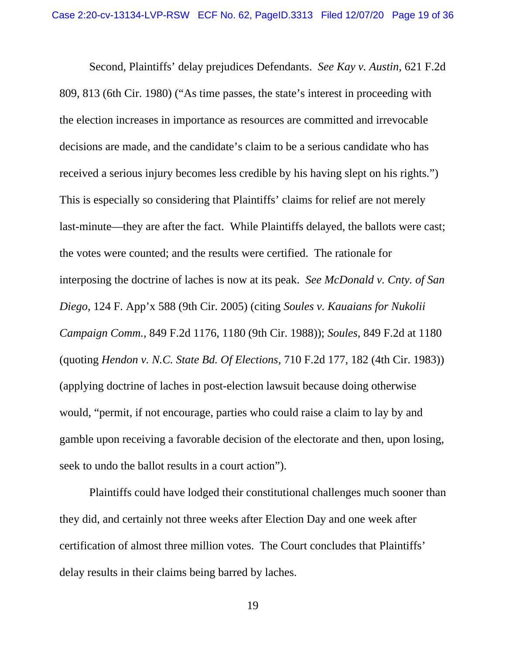Second, Plaintiffs' delay prejudices Defendants. *See Kay v. Austin*, 621 F.2d 809, 813 (6th Cir. 1980) ("As time passes, the state's interest in proceeding with the election increases in importance as resources are committed and irrevocable decisions are made, and the candidate's claim to be a serious candidate who has received a serious injury becomes less credible by his having slept on his rights.") This is especially so considering that Plaintiffs' claims for relief are not merely last-minute—they are after the fact. While Plaintiffs delayed, the ballots were cast; the votes were counted; and the results were certified. The rationale for interposing the doctrine of laches is now at its peak. *See McDonald v. Cnty. of San Diego*, 124 F. App'x 588 (9th Cir. 2005) (citing *Soules v. Kauaians for Nukolii Campaign Comm.*, 849 F.2d 1176, 1180 (9th Cir. 1988)); *Soules*, 849 F.2d at 1180 (quoting *Hendon v. N.C. State Bd. Of Elections*, 710 F.2d 177, 182 (4th Cir. 1983)) (applying doctrine of laches in post-election lawsuit because doing otherwise would, "permit, if not encourage, parties who could raise a claim to lay by and gamble upon receiving a favorable decision of the electorate and then, upon losing, seek to undo the ballot results in a court action").

Plaintiffs could have lodged their constitutional challenges much sooner than they did, and certainly not three weeks after Election Day and one week after certification of almost three million votes. The Court concludes that Plaintiffs' delay results in their claims being barred by laches.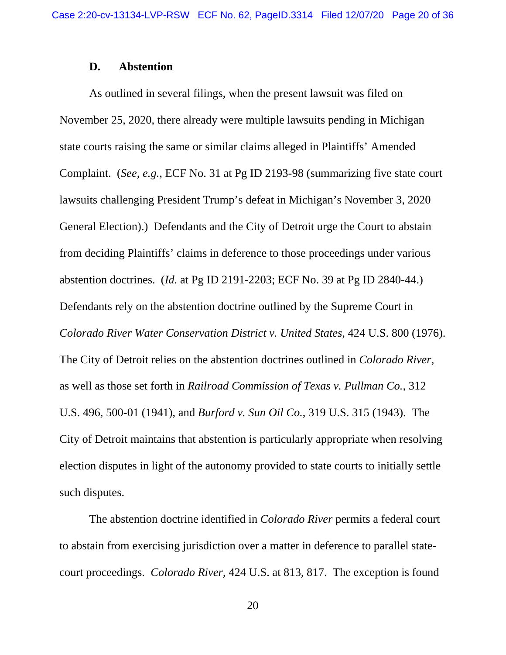### **D. Abstention**

As outlined in several filings, when the present lawsuit was filed on November 25, 2020, there already were multiple lawsuits pending in Michigan state courts raising the same or similar claims alleged in Plaintiffs' Amended Complaint. (*See, e.g.*, ECF No. 31 at Pg ID 2193-98 (summarizing five state court lawsuits challenging President Trump's defeat in Michigan's November 3, 2020 General Election).) Defendants and the City of Detroit urge the Court to abstain from deciding Plaintiffs' claims in deference to those proceedings under various abstention doctrines. (*Id.* at Pg ID 2191-2203; ECF No. 39 at Pg ID 2840-44.) Defendants rely on the abstention doctrine outlined by the Supreme Court in *Colorado River Water Conservation District v. United States*, 424 U.S. 800 (1976). The City of Detroit relies on the abstention doctrines outlined in *Colorado River*, as well as those set forth in *Railroad Commission of Texas v. Pullman Co.*, 312 U.S. 496, 500-01 (1941), and *Burford v. Sun Oil Co.*, 319 U.S. 315 (1943). The City of Detroit maintains that abstention is particularly appropriate when resolving election disputes in light of the autonomy provided to state courts to initially settle such disputes.

The abstention doctrine identified in *Colorado River* permits a federal court to abstain from exercising jurisdiction over a matter in deference to parallel statecourt proceedings. *Colorado River*, 424 U.S. at 813, 817. The exception is found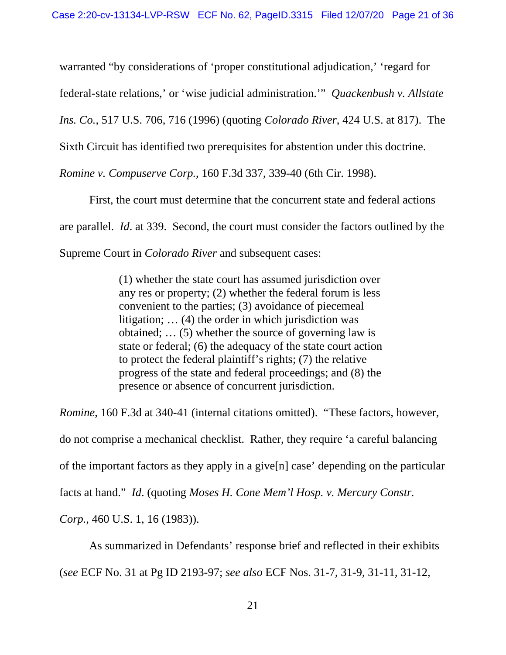warranted "by considerations of 'proper constitutional adjudication,' 'regard for

federal-state relations,' or 'wise judicial administration.'" *Quackenbush v. Allstate* 

*Ins. Co.*, 517 U.S. 706, 716 (1996) (quoting *Colorado River*, 424 U.S. at 817). The

Sixth Circuit has identified two prerequisites for abstention under this doctrine.

*Romine v. Compuserve Corp.*, 160 F.3d 337, 339-40 (6th Cir. 1998).

First, the court must determine that the concurrent state and federal actions are parallel. *Id*. at 339. Second, the court must consider the factors outlined by the Supreme Court in *Colorado River* and subsequent cases:

> (1) whether the state court has assumed jurisdiction over any res or property; (2) whether the federal forum is less convenient to the parties; (3) avoidance of piecemeal litigation; … (4) the order in which jurisdiction was obtained; … (5) whether the source of governing law is state or federal; (6) the adequacy of the state court action to protect the federal plaintiff's rights; (7) the relative progress of the state and federal proceedings; and (8) the presence or absence of concurrent jurisdiction.

*Romine*, 160 F.3d at 340-41 (internal citations omitted). "These factors, however, do not comprise a mechanical checklist. Rather, they require 'a careful balancing of the important factors as they apply in a give[n] case' depending on the particular facts at hand." *Id*. (quoting *Moses H. Cone Mem'l Hosp. v. Mercury Constr. Corp.*, 460 U.S. 1, 16 (1983)).

As summarized in Defendants' response brief and reflected in their exhibits (*see* ECF No. 31 at Pg ID 2193-97; *see also* ECF Nos. 31-7, 31-9, 31-11, 31-12,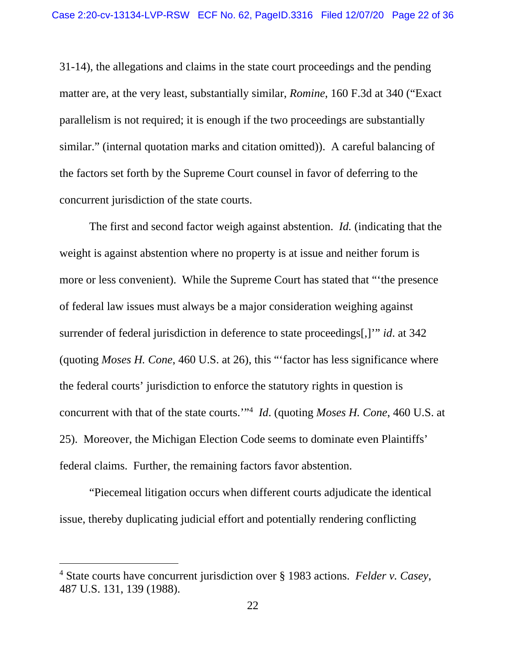31-14), the allegations and claims in the state court proceedings and the pending matter are, at the very least, substantially similar, *Romine*, 160 F.3d at 340 ("Exact parallelism is not required; it is enough if the two proceedings are substantially similar." (internal quotation marks and citation omitted)). A careful balancing of the factors set forth by the Supreme Court counsel in favor of deferring to the concurrent jurisdiction of the state courts.

The first and second factor weigh against abstention. *Id.* (indicating that the weight is against abstention where no property is at issue and neither forum is more or less convenient). While the Supreme Court has stated that "'the presence of federal law issues must always be a major consideration weighing against surrender of federal jurisdiction in deference to state proceedings[,]'" *id*. at 342 (quoting *Moses H. Cone*, 460 U.S. at 26), this "'factor has less significance where the federal courts' jurisdiction to enforce the statutory rights in question is concurrent with that of the state courts.'"4 *Id*. (quoting *Moses H. Cone*, 460 U.S. at 25). Moreover, the Michigan Election Code seems to dominate even Plaintiffs' federal claims. Further, the remaining factors favor abstention.

"Piecemeal litigation occurs when different courts adjudicate the identical issue, thereby duplicating judicial effort and potentially rendering conflicting

<sup>4</sup> State courts have concurrent jurisdiction over § 1983 actions. *Felder v. Casey*, 487 U.S. 131, 139 (1988).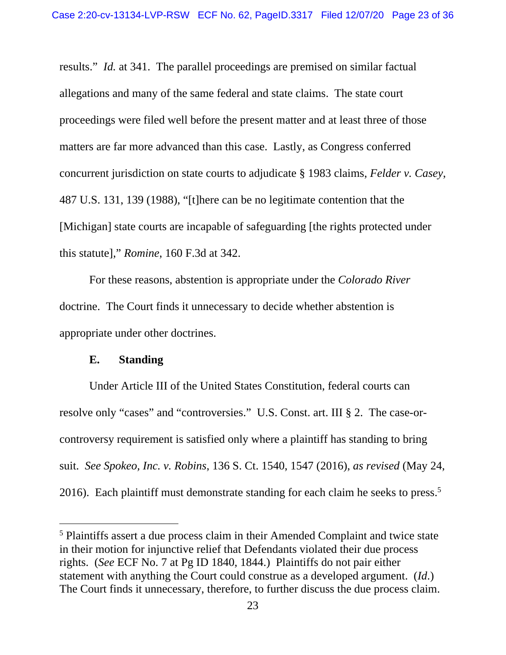results." *Id.* at 341. The parallel proceedings are premised on similar factual allegations and many of the same federal and state claims. The state court proceedings were filed well before the present matter and at least three of those matters are far more advanced than this case. Lastly, as Congress conferred concurrent jurisdiction on state courts to adjudicate § 1983 claims, *Felder v. Casey*, 487 U.S. 131, 139 (1988), "[t]here can be no legitimate contention that the [Michigan] state courts are incapable of safeguarding [the rights protected under this statute]," *Romine*, 160 F.3d at 342.

For these reasons, abstention is appropriate under the *Colorado River*  doctrine. The Court finds it unnecessary to decide whether abstention is appropriate under other doctrines.

## **E. Standing**

Under Article III of the United States Constitution, federal courts can resolve only "cases" and "controversies." U.S. Const. art. III § 2. The case-orcontroversy requirement is satisfied only where a plaintiff has standing to bring suit. *See Spokeo, Inc. v. Robins*, 136 S. Ct. 1540, 1547 (2016), *as revised* (May 24, 2016). Each plaintiff must demonstrate standing for each claim he seeks to press.<sup>5</sup>

<sup>&</sup>lt;sup>5</sup> Plaintiffs assert a due process claim in their Amended Complaint and twice state in their motion for injunctive relief that Defendants violated their due process rights. (*See* ECF No. 7 at Pg ID 1840, 1844.) Plaintiffs do not pair either statement with anything the Court could construe as a developed argument. (*Id*.) The Court finds it unnecessary, therefore, to further discuss the due process claim.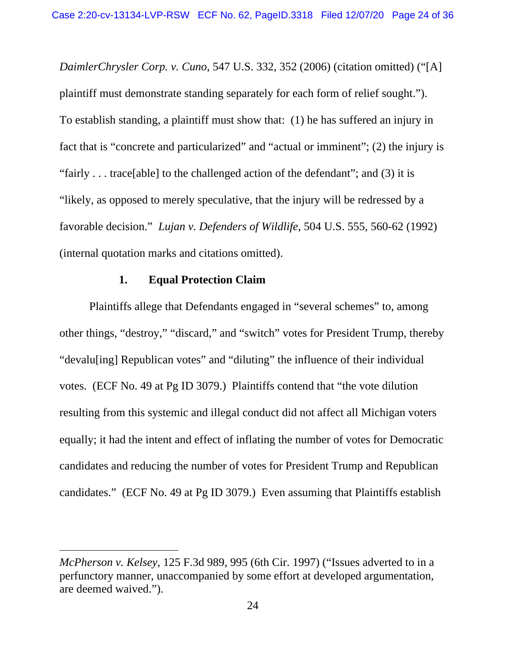*DaimlerChrysler Corp. v. Cuno*, 547 U.S. 332, 352 (2006) (citation omitted) ("[A] plaintiff must demonstrate standing separately for each form of relief sought."). To establish standing, a plaintiff must show that: (1) he has suffered an injury in fact that is "concrete and particularized" and "actual or imminent"; (2) the injury is "fairly . . . trace[able] to the challenged action of the defendant"; and (3) it is "likely, as opposed to merely speculative, that the injury will be redressed by a favorable decision." *Lujan v. Defenders of Wildlife*, 504 U.S. 555, 560-62 (1992) (internal quotation marks and citations omitted).

## **1. Equal Protection Claim**

Plaintiffs allege that Defendants engaged in "several schemes" to, among other things, "destroy," "discard," and "switch" votes for President Trump, thereby "devalu[ing] Republican votes" and "diluting" the influence of their individual votes. (ECF No. 49 at Pg ID 3079.) Plaintiffs contend that "the vote dilution resulting from this systemic and illegal conduct did not affect all Michigan voters equally; it had the intent and effect of inflating the number of votes for Democratic candidates and reducing the number of votes for President Trump and Republican candidates." (ECF No. 49 at Pg ID 3079.) Even assuming that Plaintiffs establish

*McPherson v. Kelsey*, 125 F.3d 989, 995 (6th Cir. 1997) ("Issues adverted to in a perfunctory manner, unaccompanied by some effort at developed argumentation, are deemed waived.").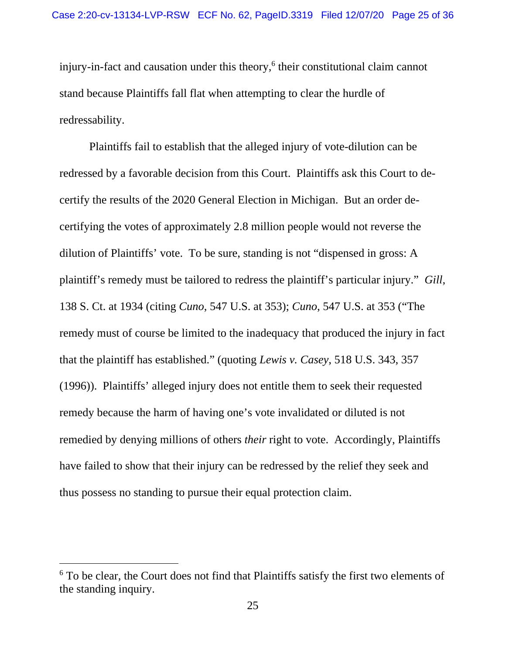injury-in-fact and causation under this theory,<sup>6</sup> their constitutional claim cannot stand because Plaintiffs fall flat when attempting to clear the hurdle of redressability.

Plaintiffs fail to establish that the alleged injury of vote-dilution can be redressed by a favorable decision from this Court. Plaintiffs ask this Court to decertify the results of the 2020 General Election in Michigan. But an order decertifying the votes of approximately 2.8 million people would not reverse the dilution of Plaintiffs' vote. To be sure, standing is not "dispensed in gross: A plaintiff's remedy must be tailored to redress the plaintiff's particular injury." *Gill*, 138 S. Ct. at 1934 (citing *Cuno*, 547 U.S. at 353); *Cuno*, 547 U.S. at 353 ("The remedy must of course be limited to the inadequacy that produced the injury in fact that the plaintiff has established." (quoting *Lewis v. Casey*, 518 U.S. 343, 357 (1996)). Plaintiffs' alleged injury does not entitle them to seek their requested remedy because the harm of having one's vote invalidated or diluted is not remedied by denying millions of others *their* right to vote. Accordingly, Plaintiffs have failed to show that their injury can be redressed by the relief they seek and thus possess no standing to pursue their equal protection claim.

<sup>&</sup>lt;sup>6</sup> To be clear, the Court does not find that Plaintiffs satisfy the first two elements of the standing inquiry.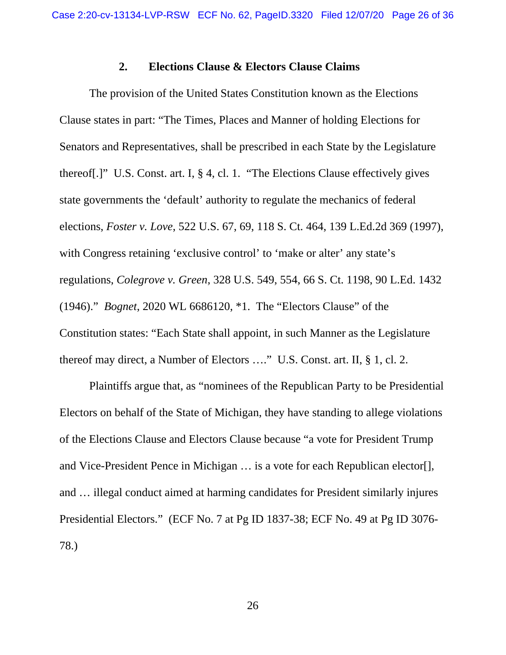### **2. Elections Clause & Electors Clause Claims**

 The provision of the United States Constitution known as the Elections Clause states in part: "The Times, Places and Manner of holding Elections for Senators and Representatives, shall be prescribed in each State by the Legislature thereof[.]" U.S. Const. art. I, § 4, cl. 1. "The Elections Clause effectively gives state governments the 'default' authority to regulate the mechanics of federal elections, *Foster v. Love*, 522 U.S. 67, 69, 118 S. Ct. 464, 139 L.Ed.2d 369 (1997), with Congress retaining 'exclusive control' to 'make or alter' any state's regulations, *Colegrove v. Green*, 328 U.S. 549, 554, 66 S. Ct. 1198, 90 L.Ed. 1432 (1946)." *Bognet*, 2020 WL 6686120, \*1. The "Electors Clause" of the Constitution states: "Each State shall appoint, in such Manner as the Legislature thereof may direct, a Number of Electors …." U.S. Const. art. II, § 1, cl. 2.

 Plaintiffs argue that, as "nominees of the Republican Party to be Presidential Electors on behalf of the State of Michigan, they have standing to allege violations of the Elections Clause and Electors Clause because "a vote for President Trump and Vice-President Pence in Michigan … is a vote for each Republican elector[], and … illegal conduct aimed at harming candidates for President similarly injures Presidential Electors." (ECF No. 7 at Pg ID 1837-38; ECF No. 49 at Pg ID 3076- 78.)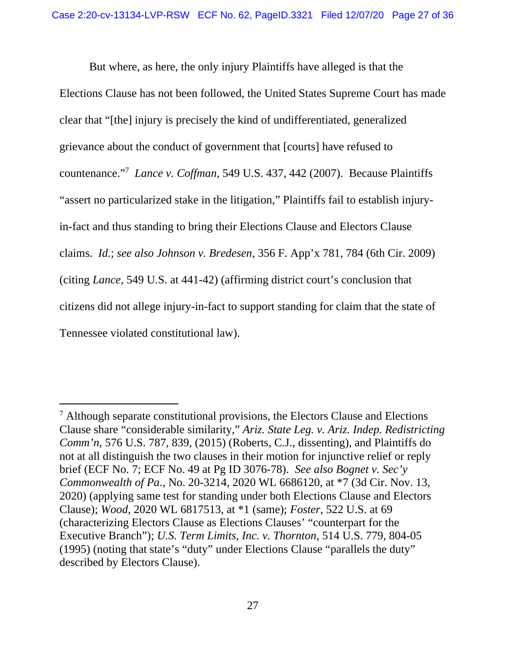But where, as here, the only injury Plaintiffs have alleged is that the Elections Clause has not been followed, the United States Supreme Court has made clear that "[the] injury is precisely the kind of undifferentiated, generalized grievance about the conduct of government that [courts] have refused to countenance."7 *Lance v. Coffman*, 549 U.S. 437, 442 (2007). Because Plaintiffs "assert no particularized stake in the litigation," Plaintiffs fail to establish injuryin-fact and thus standing to bring their Elections Clause and Electors Clause claims. *Id.*; *see also Johnson v. Bredesen*, 356 F. App'x 781, 784 (6th Cir. 2009) (citing *Lance*, 549 U.S. at 441-42) (affirming district court's conclusion that citizens did not allege injury-in-fact to support standing for claim that the state of Tennessee violated constitutional law).

<sup>&</sup>lt;sup>7</sup> Although separate constitutional provisions, the Electors Clause and Elections Clause share "considerable similarity," *Ariz. State Leg. v. Ariz. Indep. Redistricting Comm'n*, 576 U.S. 787, 839, (2015) (Roberts, C.J., dissenting), and Plaintiffs do not at all distinguish the two clauses in their motion for injunctive relief or reply brief (ECF No. 7; ECF No. 49 at Pg ID 3076-78). *See also Bognet v. Sec'y Commonwealth of Pa*., No. 20-3214, 2020 WL 6686120, at \*7 (3d Cir. Nov. 13, 2020) (applying same test for standing under both Elections Clause and Electors Clause); *Wood*, 2020 WL 6817513, at \*1 (same); *Foster*, 522 U.S. at 69 (characterizing Electors Clause as Elections Clauses' "counterpart for the Executive Branch"); *U.S. Term Limits, Inc. v. Thornton*, 514 U.S. 779, 804-05 (1995) (noting that state's "duty" under Elections Clause "parallels the duty" described by Electors Clause).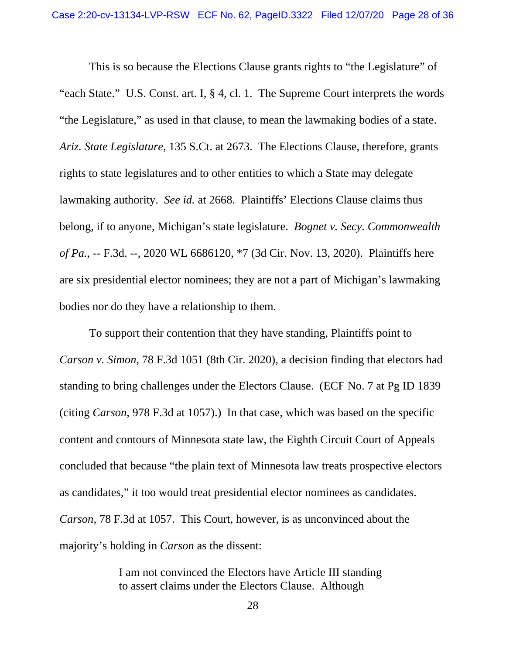This is so because the Elections Clause grants rights to "the Legislature" of "each State." U.S. Const. art. I, § 4, cl. 1. The Supreme Court interprets the words "the Legislature," as used in that clause, to mean the lawmaking bodies of a state. *Ariz. State Legislature*, 135 S.Ct. at 2673. The Elections Clause, therefore, grants rights to state legislatures and to other entities to which a State may delegate lawmaking authority. *See id.* at 2668.Plaintiffs' Elections Clause claims thus belong, if to anyone, Michigan's state legislature. *Bognet v. Secy. Commonwealth of Pa.*, -- F.3d. --, 2020 WL 6686120, \*7 (3d Cir. Nov. 13, 2020). Plaintiffs here are six presidential elector nominees; they are not a part of Michigan's lawmaking bodies nor do they have a relationship to them.

 To support their contention that they have standing, Plaintiffs point to *Carson v. Simon*, 78 F.3d 1051 (8th Cir. 2020), a decision finding that electors had standing to bring challenges under the Electors Clause. (ECF No. 7 at Pg ID 1839 (citing *Carson*, 978 F.3d at 1057).) In that case, which was based on the specific content and contours of Minnesota state law, the Eighth Circuit Court of Appeals concluded that because "the plain text of Minnesota law treats prospective electors as candidates," it too would treat presidential elector nominees as candidates. *Carson*, 78 F.3d at 1057. This Court, however, is as unconvinced about the majority's holding in *Carson* as the dissent:

> I am not convinced the Electors have Article III standing to assert claims under the Electors Clause. Although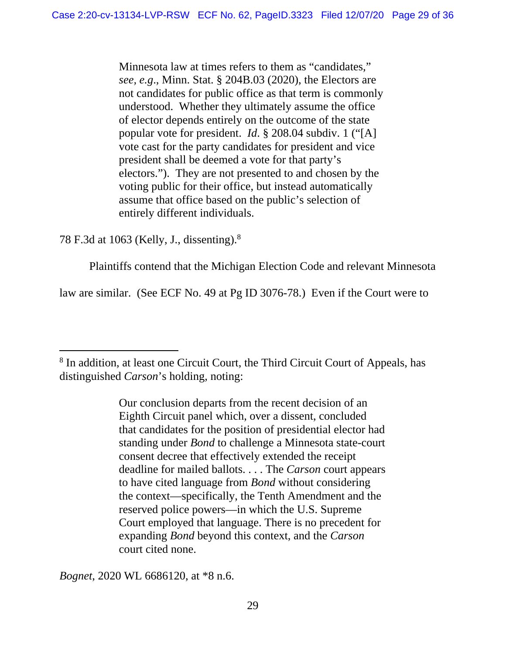Minnesota law at times refers to them as "candidates," *see, e.g*., Minn. Stat. § 204B.03 (2020), the Electors are not candidates for public office as that term is commonly understood. Whether they ultimately assume the office of elector depends entirely on the outcome of the state popular vote for president. *Id*. § 208.04 subdiv. 1 ("[A] vote cast for the party candidates for president and vice president shall be deemed a vote for that party's electors."). They are not presented to and chosen by the voting public for their office, but instead automatically assume that office based on the public's selection of entirely different individuals.

78 F.3d at 1063 (Kelly, J., dissenting).8

Plaintiffs contend that the Michigan Election Code and relevant Minnesota

law are similar. (See ECF No. 49 at Pg ID 3076-78.) Even if the Court were to

<sup>8</sup> In addition, at least one Circuit Court, the Third Circuit Court of Appeals, has distinguished *Carson*'s holding, noting:

> Our conclusion departs from the recent decision of an Eighth Circuit panel which, over a dissent, concluded that candidates for the position of presidential elector had standing under *Bond* to challenge a Minnesota state-court consent decree that effectively extended the receipt deadline for mailed ballots. . . . The *Carson* court appears to have cited language from *Bond* without considering the context—specifically, the Tenth Amendment and the reserved police powers—in which the U.S. Supreme Court employed that language. There is no precedent for expanding *Bond* beyond this context, and the *Carson* court cited none.

*Bognet*, 2020 WL 6686120, at \*8 n.6.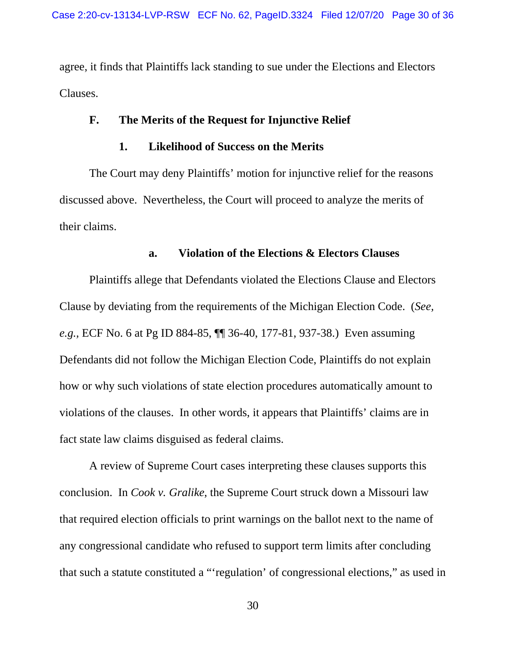agree, it finds that Plaintiffs lack standing to sue under the Elections and Electors Clauses.

# **F. The Merits of the Request for Injunctive Relief**

## **1. Likelihood of Success on the Merits**

The Court may deny Plaintiffs' motion for injunctive relief for the reasons discussed above. Nevertheless, the Court will proceed to analyze the merits of their claims.

## **a. Violation of the Elections & Electors Clauses**

 Plaintiffs allege that Defendants violated the Elections Clause and Electors Clause by deviating from the requirements of the Michigan Election Code. (*See, e.g.,* ECF No. 6 at Pg ID 884-85, ¶¶ 36-40, 177-81, 937-38.) Even assuming Defendants did not follow the Michigan Election Code, Plaintiffs do not explain how or why such violations of state election procedures automatically amount to violations of the clauses. In other words, it appears that Plaintiffs' claims are in fact state law claims disguised as federal claims.

A review of Supreme Court cases interpreting these clauses supports this conclusion. In *Cook v. Gralike*, the Supreme Court struck down a Missouri law that required election officials to print warnings on the ballot next to the name of any congressional candidate who refused to support term limits after concluding that such a statute constituted a "'regulation' of congressional elections," as used in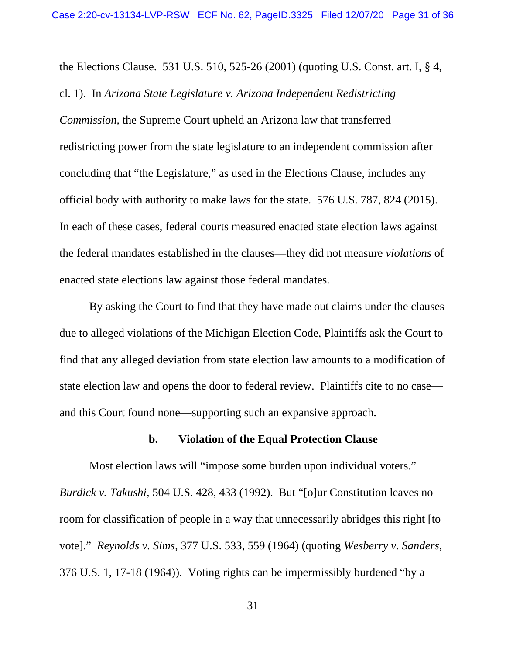the Elections Clause. 531 U.S. 510, 525-26 (2001) (quoting U.S. Const. art. I, § 4, cl. 1). In *Arizona State Legislature v. Arizona Independent Redistricting Commission*, the Supreme Court upheld an Arizona law that transferred redistricting power from the state legislature to an independent commission after concluding that "the Legislature," as used in the Elections Clause, includes any official body with authority to make laws for the state. 576 U.S. 787, 824 (2015). In each of these cases, federal courts measured enacted state election laws against the federal mandates established in the clauses—they did not measure *violations* of enacted state elections law against those federal mandates.

By asking the Court to find that they have made out claims under the clauses due to alleged violations of the Michigan Election Code, Plaintiffs ask the Court to find that any alleged deviation from state election law amounts to a modification of state election law and opens the door to federal review. Plaintiffs cite to no case and this Court found none—supporting such an expansive approach.

# **b. Violation of the Equal Protection Clause**

 Most election laws will "impose some burden upon individual voters." *Burdick v. Takushi*, 504 U.S. 428, 433 (1992). But "[o]ur Constitution leaves no room for classification of people in a way that unnecessarily abridges this right [to vote]." *Reynolds v. Sims*, 377 U.S. 533, 559 (1964) (quoting *Wesberry v. Sanders*, 376 U.S. 1, 17-18 (1964)). Voting rights can be impermissibly burdened "by a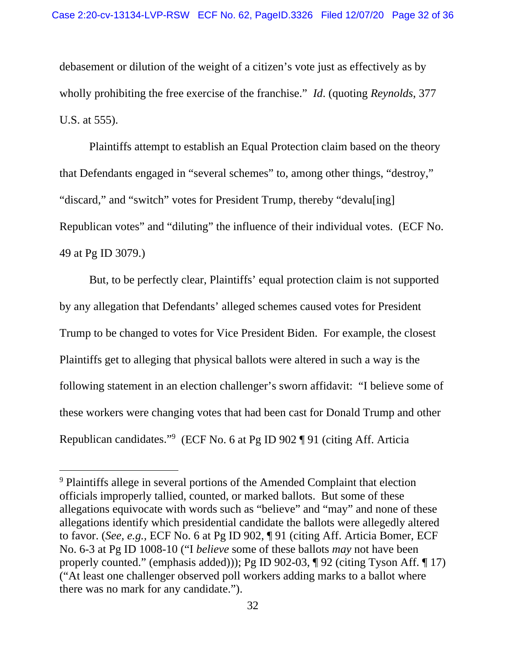debasement or dilution of the weight of a citizen's vote just as effectively as by wholly prohibiting the free exercise of the franchise." *Id*. (quoting *Reynolds*, 377 U.S. at 555).

 Plaintiffs attempt to establish an Equal Protection claim based on the theory that Defendants engaged in "several schemes" to, among other things, "destroy," "discard," and "switch" votes for President Trump, thereby "devalu[ing] Republican votes" and "diluting" the influence of their individual votes. (ECF No. 49 at Pg ID 3079.)

 But, to be perfectly clear, Plaintiffs' equal protection claim is not supported by any allegation that Defendants' alleged schemes caused votes for President Trump to be changed to votes for Vice President Biden. For example, the closest Plaintiffs get to alleging that physical ballots were altered in such a way is the following statement in an election challenger's sworn affidavit: "I believe some of these workers were changing votes that had been cast for Donald Trump and other Republican candidates."<sup>9</sup> (ECF No. 6 at Pg ID 902 ¶ 91 (citing Aff. Articia

<sup>&</sup>lt;sup>9</sup> Plaintiffs allege in several portions of the Amended Complaint that election officials improperly tallied, counted, or marked ballots. But some of these allegations equivocate with words such as "believe" and "may" and none of these allegations identify which presidential candidate the ballots were allegedly altered to favor. (*See, e.g.,* ECF No. 6 at Pg ID 902, ¶ 91 (citing Aff. Articia Bomer, ECF No. 6-3 at Pg ID 1008-10 ("I *believe* some of these ballots *may* not have been properly counted." (emphasis added))); Pg ID 902-03, ¶ 92 (citing Tyson Aff. ¶ 17) ("At least one challenger observed poll workers adding marks to a ballot where there was no mark for any candidate.").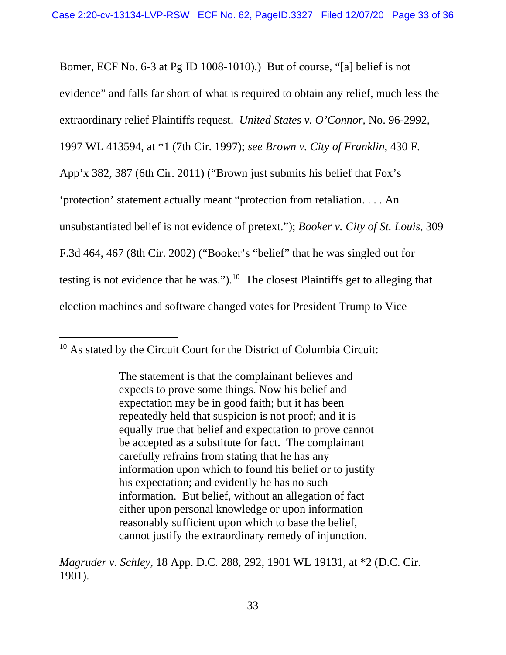Bomer, ECF No. 6-3 at Pg ID 1008-1010).) But of course, "[a] belief is not evidence" and falls far short of what is required to obtain any relief, much less the extraordinary relief Plaintiffs request. *United States v. O'Connor*, No. 96-2992, 1997 WL 413594, at \*1 (7th Cir. 1997); *see Brown v. City of Franklin*, 430 F. App'x 382, 387 (6th Cir. 2011) ("Brown just submits his belief that Fox's 'protection' statement actually meant "protection from retaliation. . . . An unsubstantiated belief is not evidence of pretext."); *Booker v. City of St. Louis*, 309 F.3d 464, 467 (8th Cir. 2002) ("Booker's "belief" that he was singled out for testing is not evidence that he was.").10 The closest Plaintiffs get to alleging that election machines and software changed votes for President Trump to Vice

<sup>&</sup>lt;sup>10</sup> As stated by the Circuit Court for the District of Columbia Circuit:

The statement is that the complainant believes and expects to prove some things. Now his belief and expectation may be in good faith; but it has been repeatedly held that suspicion is not proof; and it is equally true that belief and expectation to prove cannot be accepted as a substitute for fact. The complainant carefully refrains from stating that he has any information upon which to found his belief or to justify his expectation; and evidently he has no such information. But belief, without an allegation of fact either upon personal knowledge or upon information reasonably sufficient upon which to base the belief, cannot justify the extraordinary remedy of injunction.

*Magruder v. Schley*, 18 App. D.C. 288, 292, 1901 WL 19131, at \*2 (D.C. Cir. 1901).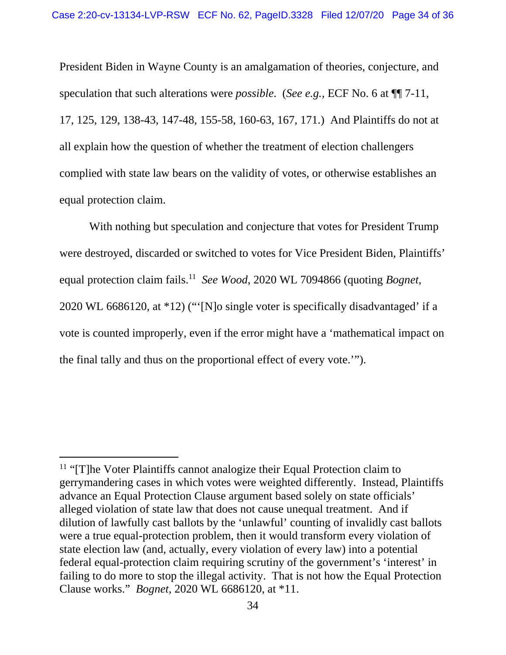President Biden in Wayne County is an amalgamation of theories, conjecture, and speculation that such alterations were *possible*. (*See e.g.,* ECF No. 6 at ¶¶ 7-11, 17, 125, 129, 138-43, 147-48, 155-58, 160-63, 167, 171.) And Plaintiffs do not at all explain how the question of whether the treatment of election challengers complied with state law bears on the validity of votes, or otherwise establishes an equal protection claim.

 With nothing but speculation and conjecture that votes for President Trump were destroyed, discarded or switched to votes for Vice President Biden, Plaintiffs' equal protection claim fails.11 *See Wood*, 2020 WL 7094866 (quoting *Bognet*, 2020 WL 6686120, at \*12) ("'[N]o single voter is specifically disadvantaged' if a vote is counted improperly, even if the error might have a 'mathematical impact on the final tally and thus on the proportional effect of every vote.'").

<sup>&</sup>lt;sup>11</sup> "[T]he Voter Plaintiffs cannot analogize their Equal Protection claim to gerrymandering cases in which votes were weighted differently. Instead, Plaintiffs advance an Equal Protection Clause argument based solely on state officials' alleged violation of state law that does not cause unequal treatment. And if dilution of lawfully cast ballots by the 'unlawful' counting of invalidly cast ballots were a true equal-protection problem, then it would transform every violation of state election law (and, actually, every violation of every law) into a potential federal equal-protection claim requiring scrutiny of the government's 'interest' in failing to do more to stop the illegal activity. That is not how the Equal Protection Clause works." *Bognet*, 2020 WL 6686120, at \*11.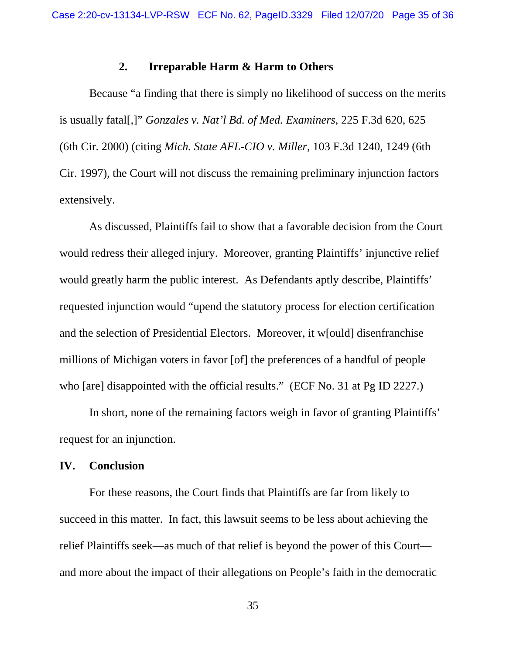### **2. Irreparable Harm & Harm to Others**

 Because "a finding that there is simply no likelihood of success on the merits is usually fatal[,]" *Gonzales v. Nat'l Bd. of Med. Examiners*, 225 F.3d 620, 625 (6th Cir. 2000) (citing *Mich. State AFL-CIO v. Miller*, 103 F.3d 1240, 1249 (6th Cir. 1997), the Court will not discuss the remaining preliminary injunction factors extensively.

 As discussed, Plaintiffs fail to show that a favorable decision from the Court would redress their alleged injury. Moreover, granting Plaintiffs' injunctive relief would greatly harm the public interest. As Defendants aptly describe, Plaintiffs' requested injunction would "upend the statutory process for election certification and the selection of Presidential Electors. Moreover, it w[ould] disenfranchise millions of Michigan voters in favor [of] the preferences of a handful of people who [are] disappointed with the official results." (ECF No. 31 at Pg ID 2227.)

 In short, none of the remaining factors weigh in favor of granting Plaintiffs' request for an injunction.

#### **IV. Conclusion**

For these reasons, the Court finds that Plaintiffs are far from likely to succeed in this matter. In fact, this lawsuit seems to be less about achieving the relief Plaintiffs seek—as much of that relief is beyond the power of this Court and more about the impact of their allegations on People's faith in the democratic